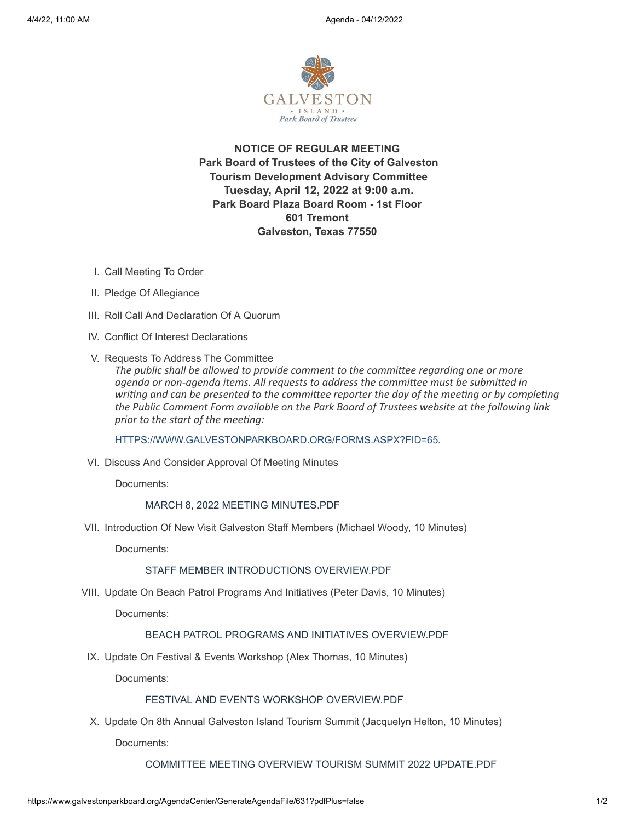

**NOTICE OF REGULAR MEETING Park Board of Trustees of the City of Galveston Tourism Development Advisory Committee Tuesday, April 12, 2022 at 9:00 a.m. Park Board Plaza Board Room - 1st Floor 601 Tremont Galveston, Texas 77550**

- I. Call Meeting To Order
- II. Pledge Of Allegiance
- III. Roll Call And Declaration Of A Quorum
- IV. Conflict Of Interest Declarations
- V. Requests To Address The Committee

*The public shall be allowed to provide comment to the committee regarding one or more agenda or non-agenda items. All requests to address the committee must be submitted in writing and can be presented to the committee reporter the day of the meeting or by completing the Public Comment Form available on the Park Board of Trustees website at the following link prior to the start of the meeting:*

[HTTPS://WWW.GALVESTONPARKBOARD.ORG/FORMS.ASPX?FID=65](https://www.galvestonparkboard.org/forms.aspx?FID=65)*.*

VI. Discuss And Consider Approval Of Meeting Minutes

Documents:

# MARCH 8, 2022 MEETING [MINUTES.PDF](https://www.galvestonparkboard.org/AgendaCenter/ViewFile/Item/7577?fileID=11526)

VII. Introduction Of New Visit Galveston Staff Members (Michael Woody, 10 Minutes)

Documents:

#### STAFF MEMBER [INTRODUCTIONS](https://www.galvestonparkboard.org/AgendaCenter/ViewFile/Item/7584?fileID=11539) OVERVIEW.PDF

VIII. Update On Beach Patrol Programs And Initiatives (Peter Davis, 10 Minutes)

Documents:

# BEACH PATROL PROGRAMS AND INITIATIVES [OVERVIEW.PDF](https://www.galvestonparkboard.org/AgendaCenter/ViewFile/Item/7587?fileID=11542)

IX. Update On Festival & Events Workshop (Alex Thomas, 10 Minutes)

Documents:

#### FESTIVAL AND EVENTS WORKSHOP OVERVIEW PDE

X. Update On 8th Annual Galveston Island Tourism Summit (Jacquelyn Helton, 10 Minutes)

Documents:

COMMITTEE MEETING OVERVIEW TOURISM SUMMIT 2022 [UPDATE.PDF](https://www.galvestonparkboard.org/AgendaCenter/ViewFile/Item/7585?fileID=11543)